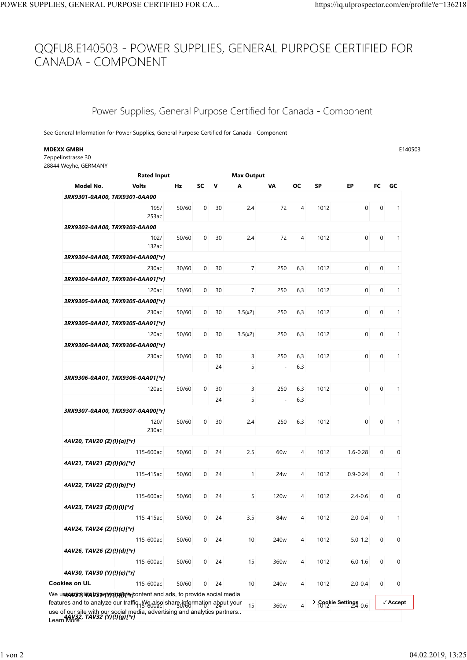## QQFU8.E140503 - POWER SUPPLIES, GENERAL PURPOSE CERTIFIED FOR CANADA - COMPONENT POWER SUPPLIES, GENERAL PURPOSE CERTIFIED FOR CA... https://iq.ulprospector.com/en/profile?e=136218

## Power Supplies, General Purpose Certified for Canada - Component

|                                                                                                                                                                                      | PLIES, GENERAL PURPOSE CERTIFIED FOR CA                          |       |            |                |             |                        |                  |                |              | https://iq.ulprospector.com/en/profile?e=136218 |                |                          |
|--------------------------------------------------------------------------------------------------------------------------------------------------------------------------------------|------------------------------------------------------------------|-------|------------|----------------|-------------|------------------------|------------------|----------------|--------------|-------------------------------------------------|----------------|--------------------------|
|                                                                                                                                                                                      |                                                                  |       |            |                |             |                        |                  |                |              |                                                 |                |                          |
| QFU8.E140503 - POWER SUPPLIES, GENERAL PURPOSE CERTIFIED FOR                                                                                                                         |                                                                  |       |            |                |             |                        |                  |                |              |                                                 |                |                          |
| ANADA - COMPONENT                                                                                                                                                                    |                                                                  |       |            |                |             |                        |                  |                |              |                                                 |                |                          |
|                                                                                                                                                                                      |                                                                  |       |            |                |             |                        |                  |                |              |                                                 |                |                          |
|                                                                                                                                                                                      |                                                                  |       |            |                |             |                        |                  |                |              |                                                 |                |                          |
|                                                                                                                                                                                      |                                                                  |       |            |                |             |                        |                  |                |              |                                                 |                |                          |
|                                                                                                                                                                                      | Power Supplies, General Purpose Certified for Canada - Component |       |            |                |             |                        |                  |                |              |                                                 |                |                          |
|                                                                                                                                                                                      |                                                                  |       |            |                |             |                        |                  |                |              |                                                 |                |                          |
| See General Information for Power Supplies, General Purpose Certified for Canada - Component                                                                                         |                                                                  |       |            |                |             |                        |                  |                |              |                                                 |                |                          |
| MDEXX GMBH                                                                                                                                                                           |                                                                  |       |            |                |             |                        |                  |                |              |                                                 |                | E140503                  |
| Zeppelinstrasse 30                                                                                                                                                                   |                                                                  |       |            |                |             |                        |                  |                |              |                                                 |                |                          |
| 28844 Weyhe, GERMANY                                                                                                                                                                 |                                                                  |       |            |                |             |                        |                  |                |              |                                                 |                |                          |
| Model No.                                                                                                                                                                            | <b>Rated Input</b><br><b>Volts</b>                               | Hz    |            | SC V           |             | <b>Max Output</b><br>A | VA               | OC.            | <b>SP</b>    | EP.                                             | FC GC          |                          |
|                                                                                                                                                                                      | 3RX9301-0AA00, TRX9301-0AA00                                     |       |            |                |             |                        |                  |                |              |                                                 |                |                          |
|                                                                                                                                                                                      | 195/                                                             | 50/60 |            | $\mathbf 0$    | 30          | 2.4                    | 72               | 4              | 1012         | $\mathbf 0$                                     | $\mathbf 0$    | $\overline{1}$           |
|                                                                                                                                                                                      | 253ac                                                            |       |            |                |             |                        |                  |                |              |                                                 |                |                          |
|                                                                                                                                                                                      | 3RX9303-0AA00, TRX9303-0AA00                                     |       |            |                |             |                        |                  |                |              |                                                 |                |                          |
|                                                                                                                                                                                      | 102/<br>132ac                                                    | 50/60 |            | 0              | 30          | 2.4                    | 72               | 4              | 1012         | $\mathbf 0$                                     | 0              | $\overline{1}$           |
|                                                                                                                                                                                      | 3RX9304-0AA00, TRX9304-0AA00[*r]                                 |       |            |                |             |                        |                  |                |              |                                                 |                |                          |
|                                                                                                                                                                                      | 230ac                                                            | 30/60 |            |                | $0\quad 30$ | $\overline{7}$         | 250              | 6,3            | 1012         | $\overline{0}$                                  | $\overline{0}$ | $\overline{1}$           |
|                                                                                                                                                                                      | 3RX9304-0AA01, TRX9304-0AA01[*r]                                 |       |            |                |             |                        |                  |                |              |                                                 |                |                          |
|                                                                                                                                                                                      | 120ac                                                            | 50/60 |            |                | $0\quad 30$ | $\overline{7}$         | 250              | 6,3            | 1012         | $\overline{0}$                                  | $\overline{0}$ | $\overline{1}$           |
|                                                                                                                                                                                      | 3RX9305-0AA00, TRX9305-0AA00[*r]                                 |       |            |                |             |                        |                  |                |              |                                                 |                |                          |
|                                                                                                                                                                                      |                                                                  | 230ac | 50/60 0 30 |                |             | 3.5(x2)                |                  |                | 250 6,3 1012 |                                                 |                | $0 \t 0 \t 1$            |
|                                                                                                                                                                                      | 3RX9305-0AA01, TRX9305-0AA01[*r]<br>120ac                        | 50/60 |            |                | $0\quad 30$ | 3.5(x2)                | 250              | 6,3            | 1012         | $\overline{0}$                                  | $\overline{0}$ | $\overline{1}$           |
|                                                                                                                                                                                      | 3RX9306-0AA00, TRX9306-0AA00[*r]                                 |       |            |                |             |                        |                  |                |              |                                                 |                |                          |
|                                                                                                                                                                                      | 230ac                                                            | 50/60 |            | $\mathbf{0}$   | 30          | 3                      | 250              | 6,3            | 1012         | $\overline{0}$                                  | $\mathbf 0$    | $\overline{1}$           |
|                                                                                                                                                                                      |                                                                  |       |            |                | 24          | 5                      | $\overline{a}$   | 6,3            |              |                                                 |                |                          |
|                                                                                                                                                                                      | 3RX9306-0AA01, TRX9306-0AA01[*r]                                 |       |            |                |             |                        |                  |                |              |                                                 |                |                          |
|                                                                                                                                                                                      | 120ac                                                            | 50/60 |            | $\mathbf{0}$   | 30          | 3                      | 250              | 6,3            | 1012         | $\mathbf 0$                                     | $\mathbf 0$    | $\overline{1}$           |
|                                                                                                                                                                                      |                                                                  |       |            |                | 24          | 5                      | $\blacksquare$   | 6,3            |              |                                                 |                |                          |
|                                                                                                                                                                                      | 3RX9307-0AA00, TRX9307-0AA00[*r]                                 |       |            |                |             |                        |                  |                |              |                                                 |                |                          |
|                                                                                                                                                                                      | 120/<br>230ac                                                    | 50/60 |            | $\mathbf 0$    | 30          | 2.4                    | 250              | 6,3            | 1012         | $\mathbf 0$                                     | 0              | $\overline{1}$           |
| 4AV20, TAV20 (Z)(!)(a)[*r]                                                                                                                                                           |                                                                  |       |            |                |             |                        |                  |                |              |                                                 |                |                          |
|                                                                                                                                                                                      | 115-600ac                                                        | 50/60 |            | $\overline{0}$ | 24          | 2.5                    | 60 <sub>w</sub>  | $\overline{4}$ | 1012         | $1.6 - 0.28$                                    | $\mathbf 0$    | $\mathbf 0$              |
| 4AV21, TAV21 (Z)(!)(k)[*r]                                                                                                                                                           |                                                                  |       |            |                |             |                        |                  |                |              |                                                 |                |                          |
|                                                                                                                                                                                      | 115-415ac                                                        | 50/60 |            |                | $0\quad 24$ | $\mathbf{1}$           | 24 <sub>w</sub>  | $\overline{4}$ | 1012         | $0.9 - 0.24$                                    | 0              | $\overline{1}$           |
| 4AV22, TAV22 (Z)(!)(b)[*r]                                                                                                                                                           | 115-600ac                                                        | 50/60 |            | $\overline{0}$ | 24          | 5                      | 120 <sub>w</sub> | $\overline{4}$ | 1012         | $2.4 - 0.6$                                     | 0              | $\mathbf 0$              |
| 4AV23, TAV23 (Z)(!)(l)[*r]                                                                                                                                                           |                                                                  |       |            |                |             |                        |                  |                |              |                                                 |                |                          |
|                                                                                                                                                                                      | 115-415ac                                                        | 50/60 |            | $\overline{0}$ | 24          | 3.5                    | 84w              | 4              | 1012         | $2.0 - 0.4$                                     | 0              | $\overline{1}$           |
| 4AV24, TAV24 (Z)(!)(c)[*r]                                                                                                                                                           |                                                                  |       |            |                |             |                        |                  |                |              |                                                 |                |                          |
|                                                                                                                                                                                      | 115-600ac                                                        | 50/60 |            |                | $0\quad 24$ | 10                     | 240 <sub>w</sub> | 4              | 1012         | $5.0 - 1.2$                                     | 0              | $\overline{0}$           |
| 4AV26, TAV26 (Z)(!)(d)[*r]                                                                                                                                                           |                                                                  |       |            |                |             |                        |                  |                |              |                                                 |                |                          |
|                                                                                                                                                                                      | 115-600ac                                                        | 50/60 |            | $\overline{0}$ | 24          | 15                     | 360w             | $\overline{4}$ | 1012         | $6.0 - 1.6$                                     | 0              | $\mathbf 0$              |
| 4AV30, TAV30 (Y)(!)(e)[*r]<br>Cookies on UL                                                                                                                                          | 115-600ac                                                        | 50/60 |            | $\overline{0}$ | 24          | 10                     | 240 <sub>w</sub> | 4              | 1012         | $2.0 - 0.4$                                     | 0              | $\mathbf 0$              |
|                                                                                                                                                                                      | We usen water is a top enganging the provide social media        |       |            |                |             |                        |                  |                |              |                                                 |                |                          |
|                                                                                                                                                                                      |                                                                  |       |            |                |             | 15                     |                  |                |              | > Cookie Settings<br>1012                       |                | $\sqrt{\mathsf{Accept}}$ |
| features and to analyze our traffic 1 We also share information apput your<br>use of our site with our social media, advertising and analytics partners.<br>Learn More<br>Learn More |                                                                  |       |            |                |             |                        | 360w             |                |              |                                                 |                |                          |